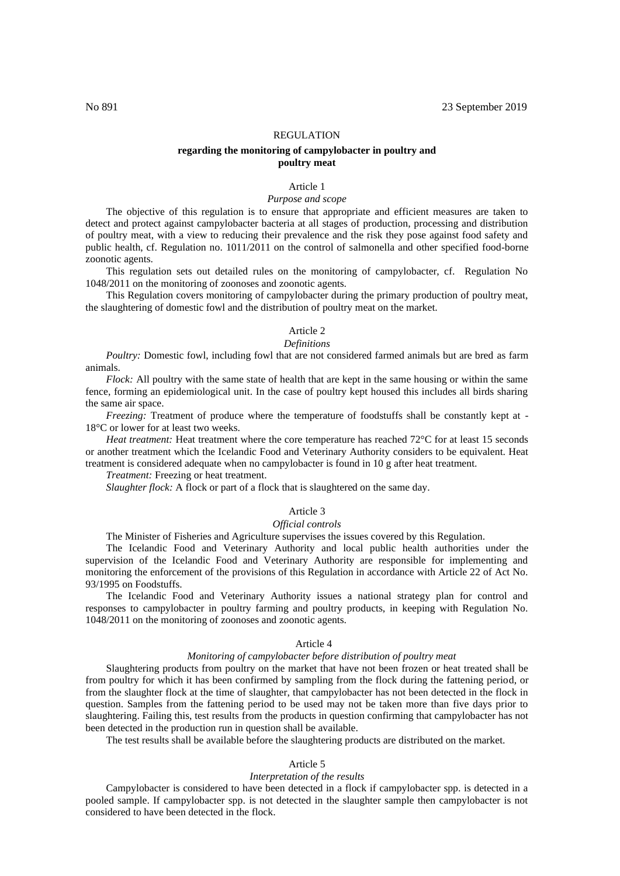# REGULATION

# **regarding the monitoring of campylobacter in poultry and poultry meat**

# Article 1

# *Purpose and scope*

The objective of this regulation is to ensure that appropriate and efficient measures are taken to detect and protect against campylobacter bacteria at all stages of production, processing and distribution of poultry meat, with a view to reducing their prevalence and the risk they pose against food safety and public health, cf. Regulation no. 1011/2011 on the control of salmonella and other specified food-borne zoonotic agents.

This regulation sets out detailed rules on the monitoring of campylobacter, cf. Regulation No 1048/2011 on the monitoring of zoonoses and zoonotic agents.

This Regulation covers monitoring of campylobacter during the primary production of poultry meat, the slaughtering of domestic fowl and the distribution of poultry meat on the market.

# Article 2

# *Definitions*

*Poultry:* Domestic fowl, including fowl that are not considered farmed animals but are bred as farm animals.

*Flock:* All poultry with the same state of health that are kept in the same housing or within the same fence, forming an epidemiological unit. In the case of poultry kept housed this includes all birds sharing the same air space.

*Freezing:* Treatment of produce where the temperature of foodstuffs shall be constantly kept at -18°C or lower for at least two weeks.

*Heat treatment:* Heat treatment where the core temperature has reached 72°C for at least 15 seconds or another treatment which the Icelandic Food and Veterinary Authority considers to be equivalent. Heat treatment is considered adequate when no campylobacter is found in 10 g after heat treatment.

# *Treatment:* Freezing or heat treatment.

*Slaughter flock:* A flock or part of a flock that is slaughtered on the same day.

# Article 3

#### *Official controls*

The Minister of Fisheries and Agriculture supervises the issues covered by this Regulation.

The Icelandic Food and Veterinary Authority and local public health authorities under the supervision of the Icelandic Food and Veterinary Authority are responsible for implementing and monitoring the enforcement of the provisions of this Regulation in accordance with Article 22 of Act No. 93/1995 on Foodstuffs.

The Icelandic Food and Veterinary Authority issues a national strategy plan for control and responses to campylobacter in poultry farming and poultry products, in keeping with Regulation No. 1048/2011 on the monitoring of zoonoses and zoonotic agents.

### Article 4

#### *Monitoring of campylobacter before distribution of poultry meat*

Slaughtering products from poultry on the market that have not been frozen or heat treated shall be from poultry for which it has been confirmed by sampling from the flock during the fattening period, or from the slaughter flock at the time of slaughter, that campylobacter has not been detected in the flock in question. Samples from the fattening period to be used may not be taken more than five days prior to slaughtering. Failing this, test results from the products in question confirming that campylobacter has not been detected in the production run in question shall be available.

The test results shall be available before the slaughtering products are distributed on the market.

#### Article 5

#### *Interpretation of the results*

Campylobacter is considered to have been detected in a flock if campylobacter spp. is detected in a pooled sample. If campylobacter spp. is not detected in the slaughter sample then campylobacter is not considered to have been detected in the flock.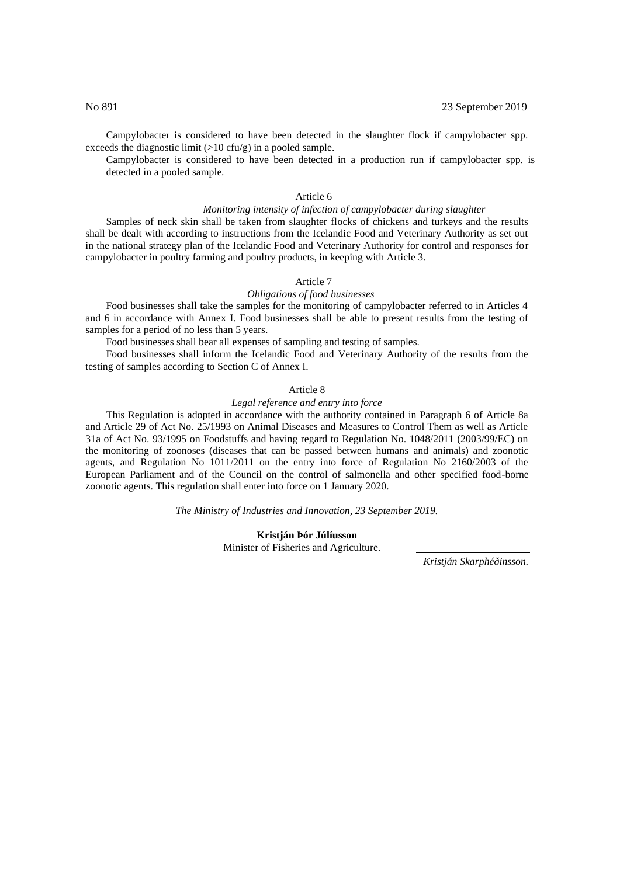Campylobacter is considered to have been detected in the slaughter flock if campylobacter spp. exceeds the diagnostic limit (>10 cfu/g) in a pooled sample.

Campylobacter is considered to have been detected in a production run if campylobacter spp. is detected in a pooled sample.

# Article 6

#### *Monitoring intensity of infection of campylobacter during slaughter*

Samples of neck skin shall be taken from slaughter flocks of chickens and turkeys and the results shall be dealt with according to instructions from the Icelandic Food and Veterinary Authority as set out in the national strategy plan of the Icelandic Food and Veterinary Authority for control and responses for campylobacter in poultry farming and poultry products, in keeping with Article 3.

# Article 7

# *Obligations of food businesses*

Food businesses shall take the samples for the monitoring of campylobacter referred to in Articles 4 and 6 in accordance with Annex I. Food businesses shall be able to present results from the testing of samples for a period of no less than 5 years.

Food businesses shall bear all expenses of sampling and testing of samples.

Food businesses shall inform the Icelandic Food and Veterinary Authority of the results from the testing of samples according to Section C of Annex I.

#### Article 8

#### *Legal reference and entry into force*

This Regulation is adopted in accordance with the authority contained in Paragraph 6 of Article 8a and Article 29 of Act No. 25/1993 on Animal Diseases and Measures to Control Them as well as Article 31a of Act No. 93/1995 on Foodstuffs and having regard to Regulation No. 1048/2011 (2003/99/EC) on the monitoring of zoonoses (diseases that can be passed between humans and animals) and zoonotic agents, and Regulation No 1011/2011 on the entry into force of Regulation No 2160/2003 of the European Parliament and of the Council on the control of salmonella and other specified food-borne zoonotic agents. This regulation shall enter into force on 1 January 2020.

*The Ministry of Industries and Innovation, 23 September 2019.*

**Kristján Þór Júlíusson** Minister of Fisheries and Agriculture.

*Kristján Skarphéðinsson.*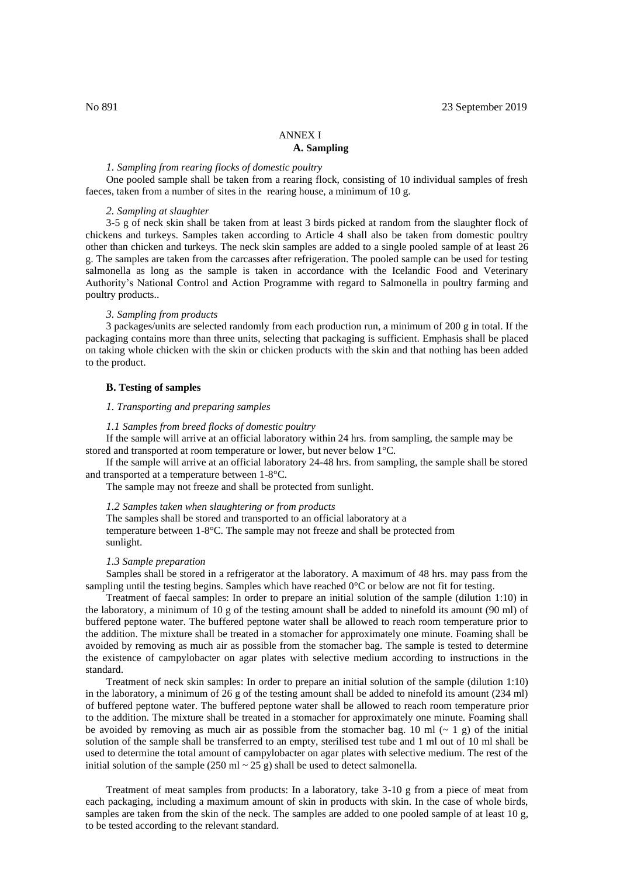# ANNEX I

# **A. Sampling**

# *1. Sampling from rearing flocks of domestic poultry*

One pooled sample shall be taken from a rearing flock, consisting of 10 individual samples of fresh faeces, taken from a number of sites in the rearing house, a minimum of 10 g.

#### *2. Sampling at slaughter*

3-5 g of neck skin shall be taken from at least 3 birds picked at random from the slaughter flock of chickens and turkeys. Samples taken according to Article 4 shall also be taken from domestic poultry other than chicken and turkeys. The neck skin samples are added to a single pooled sample of at least 26 g. The samples are taken from the carcasses after refrigeration. The pooled sample can be used for testing salmonella as long as the sample is taken in accordance with the Icelandic Food and Veterinary Authority's National Control and Action Programme with regard to Salmonella in poultry farming and poultry products..

#### *3. Sampling from products*

3 packages/units are selected randomly from each production run, a minimum of 200 g in total. If the packaging contains more than three units, selecting that packaging is sufficient. Emphasis shall be placed on taking whole chicken with the skin or chicken products with the skin and that nothing has been added to the product.

# **B. Testing of samples**

### *1. Transporting and preparing samples*

#### *1.1 Samples from breed flocks of domestic poultry*

If the sample will arrive at an official laboratory within 24 hrs. from sampling, the sample may be stored and transported at room temperature or lower, but never below 1°C.

If the sample will arrive at an official laboratory 24-48 hrs. from sampling, the sample shall be stored and transported at a temperature between 1-8°C.

The sample may not freeze and shall be protected from sunlight.

## *1.2 Samples taken when slaughtering or from products*

The samples shall be stored and transported to an official laboratory at a temperature between 1-8°C. The sample may not freeze and shall be protected from sunlight.

#### *1.3 Sample preparation*

Samples shall be stored in a refrigerator at the laboratory. A maximum of 48 hrs. may pass from the sampling until the testing begins. Samples which have reached  $0^{\circ}$ C or below are not fit for testing.

Treatment of faecal samples: In order to prepare an initial solution of the sample (dilution 1:10) in the laboratory, a minimum of 10 g of the testing amount shall be added to ninefold its amount (90 ml) of buffered peptone water. The buffered peptone water shall be allowed to reach room temperature prior to the addition. The mixture shall be treated in a stomacher for approximately one minute. Foaming shall be avoided by removing as much air as possible from the stomacher bag. The sample is tested to determine the existence of campylobacter on agar plates with selective medium according to instructions in the standard.

Treatment of neck skin samples: In order to prepare an initial solution of the sample (dilution 1:10) in the laboratory, a minimum of 26 g of the testing amount shall be added to ninefold its amount (234 ml) of buffered peptone water. The buffered peptone water shall be allowed to reach room temperature prior to the addition. The mixture shall be treated in a stomacher for approximately one minute. Foaming shall be avoided by removing as much air as possible from the stomacher bag. 10 ml ( $\sim$  1 g) of the initial solution of the sample shall be transferred to an empty, sterilised test tube and 1 ml out of 10 ml shall be used to determine the total amount of campylobacter on agar plates with selective medium. The rest of the initial solution of the sample (250 ml  $\sim$  25 g) shall be used to detect salmonella.

Treatment of meat samples from products: In a laboratory, take 3-10 g from a piece of meat from each packaging, including a maximum amount of skin in products with skin. In the case of whole birds, samples are taken from the skin of the neck. The samples are added to one pooled sample of at least 10 g, to be tested according to the relevant standard.